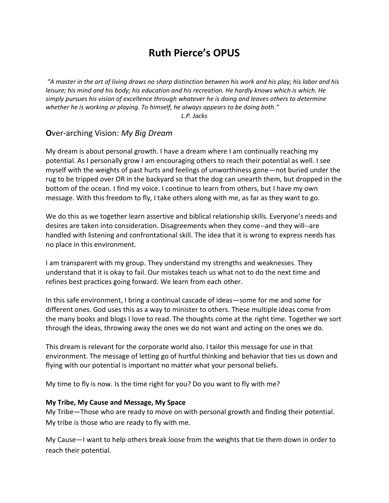# **Ruth Pierce's OPUS**

*"A master in the art of living draws no sharp distinction between his work and his play; his labor and his leisure; his mind and his body; his education and his recreation. He hardly knows which is which. He simply pursues his vision of excellence through whatever he is doing and leaves others to determine whether he is working or playing. To himself, he always appears to be doing both." L.P. Jacks*

#### **O**ver-arching Vision: *My Big Dream*

My dream is about personal growth. I have a dream where I am continually reaching my potential. As I personally grow I am encouraging others to reach their potential as well. I see myself with the weights of past hurts and feelings of unworthiness gone—not buried under the rug to be tripped over OR in the backyard so that the dog can unearth them, but dropped in the bottom of the ocean. I find my voice. I continue to learn from others, but I have my own message. With this freedom to fly, I take others along with me, as far as they want to go.

We do this as we together learn assertive and biblical relationship skills. Everyone's needs and desires are taken into consideration. Disagreements when they come--and they will--are handled with listening and confrontational skill. The idea that it is wrong to express needs has no place in this environment.

I am transparent with my group. They understand my strengths and weaknesses. They understand that it is okay to fail. Our mistakes teach us what not to do the next time and refines best practices going forward. We learn from each other.

In this safe environment, I bring a continual cascade of ideas—some for me and some for different ones. God uses this as a way to minister to others. These multiple ideas come from the many books and blogs I love to read. The thoughts come at the right time. Together we sort through the ideas, throwing away the ones we do not want and acting on the ones we do.

This dream is relevant for the corporate world also. I tailor this message for use in that environment. The message of letting go of hurtful thinking and behavior that ties us down and flying with our potential is important no matter what your personal beliefs.

My time to fly is now. Is the time right for you? Do you want to fly with me?

#### **My Tribe, My Cause and Message, My Space**

My Tribe—Those who are ready to move on with personal growth and finding their potential. My tribe is those who are ready to fly with me.

My Cause—I want to help others break loose from the weights that tie them down in order to reach their potential.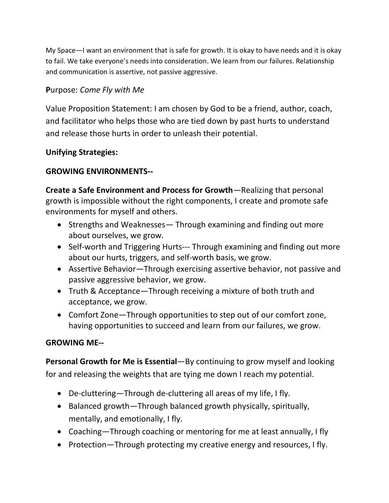My Space—I want an environment that is safe for growth. It is okay to have needs and it is okay to fail. We take everyone's needs into consideration. We learn from our failures. Relationship and communication is assertive, not passive aggressive.

## **P**urpose: *Come Fly with Me*

Value Proposition Statement: I am chosen by God to be a friend, author, coach, and facilitator who helps those who are tied down by past hurts to understand and release those hurts in order to unleash their potential.

### **Unifying Strategies:**

### **GROWING ENVIRONMENTS--**

**Create a Safe Environment and Process for Growth**—Realizing that personal growth is impossible without the right components, I create and promote safe environments for myself and others.

- Strengths and Weaknesses Through examining and finding out more about ourselves, we grow.
- Self-worth and Triggering Hurts--- Through examining and finding out more about our hurts, triggers, and self-worth basis, we grow.
- Assertive Behavior—Through exercising assertive behavior, not passive and passive aggressive behavior, we grow.
- Truth & Acceptance—Through receiving a mixture of both truth and acceptance, we grow.
- Comfort Zone—Through opportunities to step out of our comfort zone, having opportunities to succeed and learn from our failures, we grow.

#### **GROWING ME--**

**Personal Growth for Me is Essential**—By continuing to grow myself and looking for and releasing the weights that are tying me down I reach my potential.

- De-cluttering—Through de-cluttering all areas of my life, I fly.
- Balanced growth—Through balanced growth physically, spiritually, mentally, and emotionally, I fly.
- Coaching—Through coaching or mentoring for me at least annually, I fly
- Protection—Through protecting my creative energy and resources, I fly.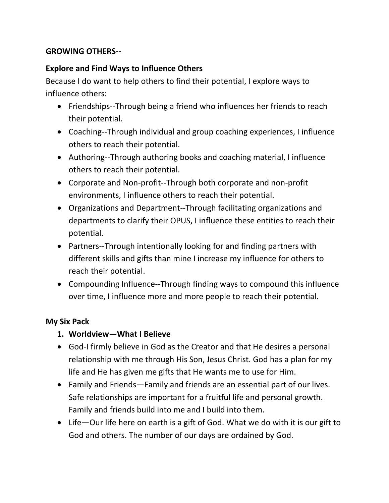## **GROWING OTHERS--**

## **Explore and Find Ways to Influence Others**

Because I do want to help others to find their potential, I explore ways to influence others:

- Friendships--Through being a friend who influences her friends to reach their potential.
- Coaching--Through individual and group coaching experiences, I influence others to reach their potential.
- Authoring--Through authoring books and coaching material, I influence others to reach their potential.
- Corporate and Non-profit--Through both corporate and non-profit environments, I influence others to reach their potential.
- Organizations and Department--Through facilitating organizations and departments to clarify their OPUS, I influence these entities to reach their potential.
- Partners--Through intentionally looking for and finding partners with different skills and gifts than mine I increase my influence for others to reach their potential.
- Compounding Influence--Through finding ways to compound this influence over time, I influence more and more people to reach their potential.

## **My Six Pack**

- **1. Worldview—What I Believe**
- God-I firmly believe in God as the Creator and that He desires a personal relationship with me through His Son, Jesus Christ. God has a plan for my life and He has given me gifts that He wants me to use for Him.
- Family and Friends—Family and friends are an essential part of our lives. Safe relationships are important for a fruitful life and personal growth. Family and friends build into me and I build into them.
- Life—Our life here on earth is a gift of God. What we do with it is our gift to God and others. The number of our days are ordained by God.